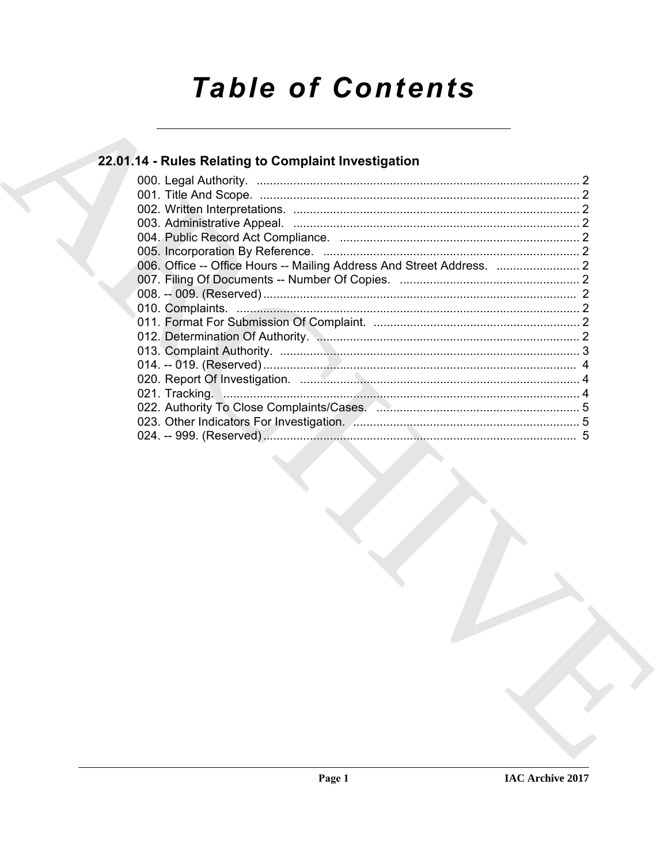# **Table of Contents**

## 22.01.14 - Rules Relating to Complaint Investigation

| 022. Authority To Close Complaints/Cases. 2008. 2009. 2010. 2010. 2010. 2010. 2010. 2010. 2010. 2010 |  |
|------------------------------------------------------------------------------------------------------|--|
|                                                                                                      |  |
|                                                                                                      |  |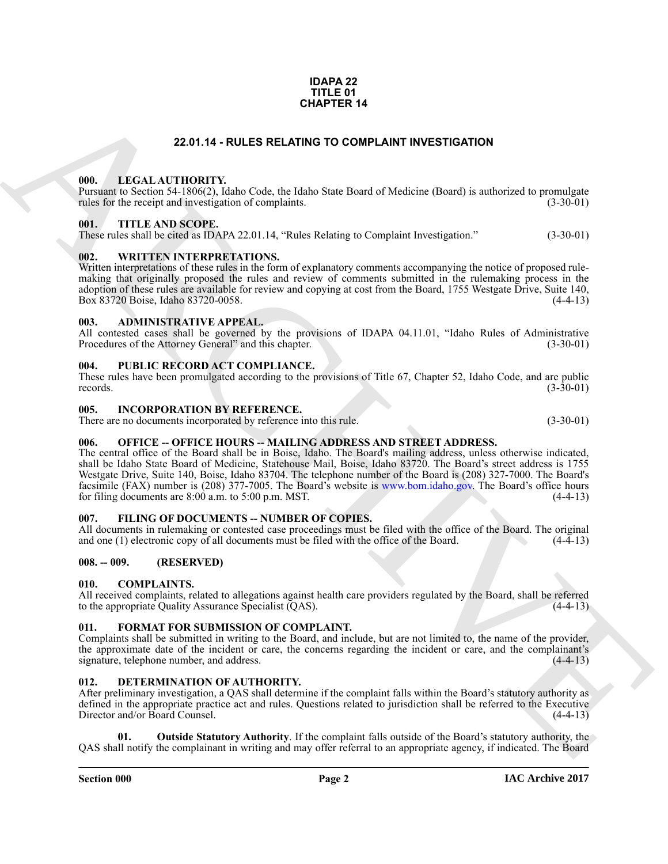### **IAC Archive 2017**

### **IDAPA 22 TITLE 01 CHAPTER 14**

### **22.01.14 - RULES RELATING TO COMPLAINT INVESTIGATION**

### <span id="page-1-1"></span><span id="page-1-0"></span>**000. LEGAL AUTHORITY.**

Pursuant to Section 54-1806(2), Idaho Code, the Idaho State Board of Medicine (Board) is authorized to promulgate rules for the receipt and investigation of complaints.

### <span id="page-1-2"></span>**001. TITLE AND SCOPE.**

These rules shall be cited as IDAPA 22.01.14, "Rules Relating to Complaint Investigation." (3-30-01)

### <span id="page-1-3"></span>**002. WRITTEN INTERPRETATIONS.**

Written interpretations of these rules in the form of explanatory comments accompanying the notice of proposed rulemaking that originally proposed the rules and review of comments submitted in the rulemaking process in the adoption of these rules are available for review and copying at cost from the Board, 1755 Westgate Drive, Suite 140, Box 83720 Boise, Idaho 83720-0058. Box 83720 Boise, Idaho 83720-0058.

### <span id="page-1-4"></span>**003. ADMINISTRATIVE APPEAL.**

All contested cases shall be governed by the provisions of IDAPA 04.11.01, "Idaho Rules of Administrative Procedures of the Attorney General" and this chapter. (3-30-01)

### <span id="page-1-5"></span>**004. PUBLIC RECORD ACT COMPLIANCE.**

These rules have been promulgated according to the provisions of Title 67, Chapter 52, Idaho Code, and are public records. (3-30-01) records.  $(3-30-01)$ 

### <span id="page-1-6"></span>**005. INCORPORATION BY REFERENCE.**

There are no documents incorporated by reference into this rule. (3-30-01)

### <span id="page-1-7"></span>006. OFFICE -- OFFICE HOURS -- MAILING ADDRESS AND STREET ADDRESS.

**CHAPTER 14**<br> **CHAPTER 14**<br> **CHAPTER 14**<br> **CHAPTER 14**<br> **CHAPTER 16 (16)**  $\frac{1}{2}$  **CHAPTER 16** (16) **CHAPTER 16** (16) **CHAPTER 16** (**CHAPTER 16) CHAPTER** 16 (**CHAPTER 16) CHAPTER CONFIDENT C C C C C C** The central office of the Board shall be in Boise, Idaho. The Board's mailing address, unless otherwise indicated, shall be Idaho State Board of Medicine, Statehouse Mail, Boise, Idaho 83720. The Board's street address is 1755 Westgate Drive, Suite 140, Boise, Idaho 83704. The telephone number of the Board is (208) 327-7000. The Board's facsimile (FAX) number is (208) 377-7005. The Board's website is www.bom.idaho.gov. The Board's office hours for filing documents are  $8:00$  a.m. to  $5:00$  p.m. MST. (4-4-13)

### <span id="page-1-16"></span><span id="page-1-8"></span>**007. FILING OF DOCUMENTS -- NUMBER OF COPIES.**

All documents in rulemaking or contested case proceedings must be filed with the office of the Board. The original and one (1) electronic copy of all documents must be filed with the office of the Board. (4-4-13)

### <span id="page-1-9"></span>**008. -- 009. (RESERVED)**

### <span id="page-1-13"></span><span id="page-1-10"></span>**010. COMPLAINTS.**

All received complaints, related to allegations against health care providers regulated by the Board, shall be referred to the appropriate Quality Assurance Specialist (QAS). to the appropriate Quality Assurance Specialist (QAS).

### <span id="page-1-17"></span><span id="page-1-11"></span>**011. FORMAT FOR SUBMISSION OF COMPLAINT.**

Complaints shall be submitted in writing to the Board, and include, but are not limited to, the name of the provider, the approximate date of the incident or care, the concerns regarding the incident or care, and the complainant's signature, telephone number, and address. (4-4-13) signature, telephone number, and address.

### <span id="page-1-14"></span><span id="page-1-12"></span>**012. DETERMINATION OF AUTHORITY.**

After preliminary investigation, a QAS shall determine if the complaint falls within the Board's statutory authority as defined in the appropriate practice act and rules. Questions related to jurisdiction shall be referred to the Executive Director and/or Board Counsel. (4-4-13) Director and/or Board Counsel.

<span id="page-1-15"></span>**Outside Statutory Authority**. If the complaint falls outside of the Board's statutory authority, the QAS shall notify the complainant in writing and may offer referral to an appropriate agency, if indicated. The Board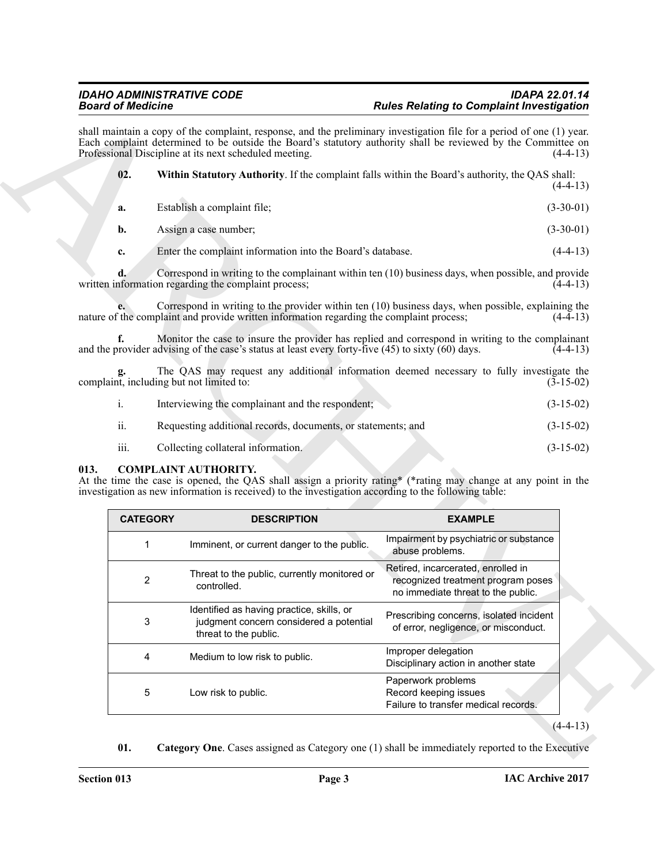<span id="page-2-3"></span>

|      |                 | Each complaint determined to be outside the Board's statutory authority shall be reviewed by the Committee on<br>Professional Discipline at its next scheduled meeting.                                                                       |                                                                                                                | $(4-4-13)$                 |
|------|-----------------|-----------------------------------------------------------------------------------------------------------------------------------------------------------------------------------------------------------------------------------------------|----------------------------------------------------------------------------------------------------------------|----------------------------|
|      | 02.             | Within Statutory Authority. If the complaint falls within the Board's authority, the QAS shall:                                                                                                                                               |                                                                                                                | $(4-4-13)$                 |
|      | a.              | Establish a complaint file;                                                                                                                                                                                                                   |                                                                                                                | $(3-30-01)$                |
|      | b.              | Assign a case number;                                                                                                                                                                                                                         |                                                                                                                | $(3-30-01)$                |
|      | c.              | Enter the complaint information into the Board's database.                                                                                                                                                                                    |                                                                                                                | $(4-4-13)$                 |
|      | d.              | Correspond in writing to the complainant within ten (10) business days, when possible, and provide<br>written information regarding the complaint process;                                                                                    |                                                                                                                | $(4-4-13)$                 |
|      |                 | Correspond in writing to the provider within ten (10) business days, when possible, explaining the<br>nature of the complaint and provide written information regarding the complaint process;                                                |                                                                                                                | $(4-4-13)$                 |
|      | f.              | Monitor the case to insure the provider has replied and correspond in writing to the complainant<br>and the provider advising of the case's status at least every forty-five (45) to sixty (60) days.                                         |                                                                                                                | $(4-4-13)$                 |
|      |                 | The QAS may request any additional information deemed necessary to fully investigate the<br>complaint, including but not limited to:                                                                                                          |                                                                                                                | $(3-15-02)$                |
|      | $\mathbf{i}$ .  | Interviewing the complainant and the respondent;                                                                                                                                                                                              |                                                                                                                | $(3-15-02)$                |
|      |                 |                                                                                                                                                                                                                                               |                                                                                                                |                            |
|      | ii.             | Requesting additional records, documents, or statements; and                                                                                                                                                                                  |                                                                                                                |                            |
| 013. | iii.            | Collecting collateral information.<br><b>COMPLAINT AUTHORITY.</b>                                                                                                                                                                             |                                                                                                                | $(3-15-02)$<br>$(3-15-02)$ |
|      | <b>CATEGORY</b> | At the time the case is opened, the QAS shall assign a priority rating* (*rating may change at any point in the<br>investigation as new information is received) to the investigation according to the following table:<br><b>DESCRIPTION</b> | <b>EXAMPLE</b>                                                                                                 |                            |
|      | 1               | Imminent, or current danger to the public.                                                                                                                                                                                                    | Impairment by psychiatric or substance<br>abuse problems.                                                      |                            |
|      | 2               | Threat to the public, currently monitored or<br>controlled.                                                                                                                                                                                   | Retired, incarcerated, enrolled in<br>recognized treatment program poses<br>no immediate threat to the public. |                            |
|      | 3               | Identified as having practice, skills, or<br>judgment concern considered a potential<br>threat to the public.                                                                                                                                 | Prescribing concerns, isolated incident<br>of error, negligence, or misconduct.                                |                            |
|      | 4               | Medium to low risk to public.                                                                                                                                                                                                                 | Improper delegation<br>Disciplinary action in another state                                                    |                            |

### <span id="page-2-1"></span><span id="page-2-0"></span>**013. COMPLAINT AUTHORITY.**

<span id="page-2-2"></span>

| <b>CATEGORY</b> | <b>DESCRIPTION</b>                                                                                            | <b>EXAMPLE</b>                                                                                                 |
|-----------------|---------------------------------------------------------------------------------------------------------------|----------------------------------------------------------------------------------------------------------------|
| 1               | Imminent, or current danger to the public.                                                                    | Impairment by psychiatric or substance<br>abuse problems.                                                      |
| $\overline{2}$  | Threat to the public, currently monitored or<br>controlled.                                                   | Retired, incarcerated, enrolled in<br>recognized treatment program poses<br>no immediate threat to the public. |
| 3               | Identified as having practice, skills, or<br>judgment concern considered a potential<br>threat to the public. | Prescribing concerns, isolated incident<br>of error, negligence, or misconduct.                                |
| 4               | Medium to low risk to public.                                                                                 | Improper delegation<br>Disciplinary action in another state                                                    |
| 5               | Low risk to public.                                                                                           | Paperwork problems<br>Record keeping issues<br>Failure to transfer medical records.                            |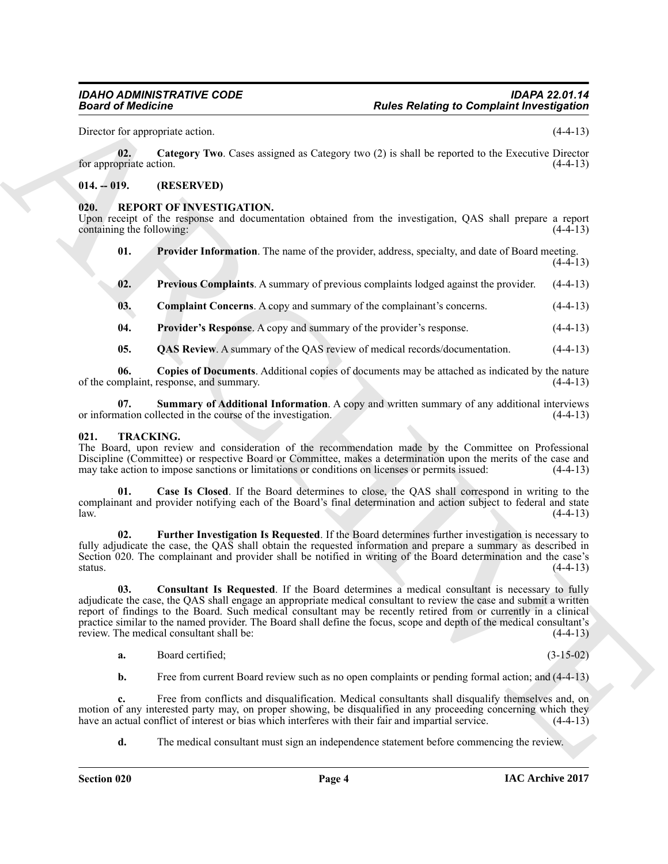<span id="page-3-3"></span>Director for appropriate action. (4-4-13)

**02. Category Two**. Cases assigned as Category two (2) is shall be reported to the Executive Director for appropriate action.  $(4-4-13)$ 

### <span id="page-3-0"></span>**014. -- 019. (RESERVED)**

### <span id="page-3-4"></span><span id="page-3-1"></span>**020. REPORT OF INVESTIGATION.**

Upon receipt of the response and documentation obtained from the investigation, QAS shall prepare a report containing the following:  $(4-4-13)$ 

- <span id="page-3-8"></span>**01.** Provider Information. The name of the provider, address, specialty, and date of Board meeting.  $(4-4-13)$
- <span id="page-3-7"></span>**02.** Previous Complaints. A summary of previous complaints lodged against the provider. (4-4-13)
- <span id="page-3-9"></span><span id="page-3-5"></span>**03. Complaint Concerns**. A copy and summary of the complainant's concerns. (4-4-13)
- **04. Provider's Response**. A copy and summary of the provider's response. (4-4-13)
- <span id="page-3-11"></span><span id="page-3-10"></span><span id="page-3-6"></span>**05.** QAS Review. A summary of the QAS review of medical records/documentation.  $(4-4-13)$

**06.** Copies of Documents. Additional copies of documents may be attached as indicated by the nature mplaint, response, and summary. (4-4-13) of the complaint, response, and summary.

**07.** Summary of Additional Information. A copy and written summary of any additional interviews nation collected in the course of the investigation. (4-4-13) or information collected in the course of the investigation.

### <span id="page-3-12"></span><span id="page-3-2"></span>**021. TRACKING.**

The Board, upon review and consideration of the recommendation made by the Committee on Professional Discipline (Committee) or respective Board or Committee, makes a determination upon the merits of the case and may take action to impose sanctions or limitations or conditions on licenses or permits issued:  $(4-4-13)$ may take action to impose sanctions or limitations or conditions on licenses or permits issued:

<span id="page-3-13"></span>**01. Case Is Closed**. If the Board determines to close, the QAS shall correspond in writing to the complainant and provider notifying each of the Board's final determination and action subject to federal and state  $l$ aw.  $(4-4-13)$ 

<span id="page-3-15"></span>**02. Further Investigation Is Requested**. If the Board determines further investigation is necessary to fully adjudicate the case, the QAS shall obtain the requested information and prepare a summary as described in Section 020. The complainant and provider shall be notified in writing of the Board determination and the case's status. (4-4-13) status.  $(4-4-13)$ 

**Example of Complete Control in the Control of Complete Control in the Control of Control of Control in the Control of Control in the Control of Control of Control in the Control of Control of Control in the Control of Co 03. Consultant Is Requested**. If the Board determines a medical consultant is necessary to fully adjudicate the case, the QAS shall engage an appropriate medical consultant to review the case and submit a written report of findings to the Board. Such medical consultant may be recently retired from or currently in a clinical practice similar to the named provider. The Board shall define the focus, scope and depth of the medical consultant's review. The medical consultant shall be: (4-4-13) review. The medical consultant shall be:

<span id="page-3-14"></span>**a.** Board certified; (3-15-02)

**b.** Free from current Board review such as no open complaints or pending formal action; and (4-4-13)

**c.** Free from conflicts and disqualification. Medical consultants shall disqualify themselves and, on motion of any interested party may, on proper showing, be disqualified in any proceeding concerning which they<br>have an actual conflict of interest or bias which interferes with their fair and impartial service. (4-4-13) have an actual conflict of interest or bias which interferes with their fair and impartial service.

**d.** The medical consultant must sign an independence statement before commencing the review.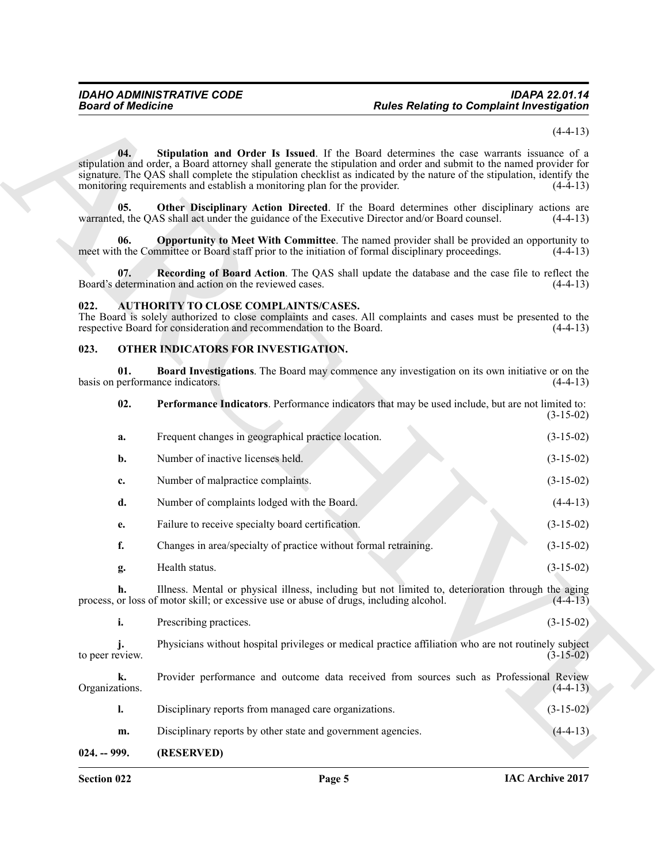$(4-4-13)$ 

<span id="page-4-10"></span>**04. Stipulation and Order Is Issued**. If the Board determines the case warrants issuance of a stipulation and order, a Board attorney shall generate the stipulation and order and submit to the named provider for signature. The QAS shall complete the stipulation checklist as indicated by the nature of the stipulation, identify the monitoring requirements and establish a monitoring plan for the provider. (4-4-13)

<span id="page-4-8"></span>**05.** Other Disciplinary Action Directed. If the Board determines other disciplinary actions are d, the OAS shall act under the guidance of the Executive Director and/or Board counsel. (4-4-13) warranted, the QAS shall act under the guidance of the Executive Director and/or Board counsel.

<span id="page-4-7"></span>**06. Opportunity to Meet With Committee**. The named provider shall be provided an opportunity to h the Committee or Board staff prior to the initiation of formal disciplinary proceedings. (4-4-13) meet with the Committee or Board staff prior to the initiation of formal disciplinary proceedings.

<span id="page-4-9"></span>**07. Recording of Board Action**. The QAS shall update the database and the case file to reflect the Board's determination and action on the reviewed cases. (4-4-13)

### <span id="page-4-3"></span><span id="page-4-0"></span>**022. AUTHORITY TO CLOSE COMPLAINTS/CASES.**

The Board is solely authorized to close complaints and cases. All complaints and cases must be presented to the respective Board for consideration and recommendation to the Board. (4-4-13)

### <span id="page-4-4"></span><span id="page-4-1"></span>**023. OTHER INDICATORS FOR INVESTIGATION.**

<span id="page-4-6"></span><span id="page-4-5"></span>**01. Board Investigations**. The Board may commence any investigation on its own initiative or on the performance indicators. (4-4-13) basis on performance indicators.

**Example of Control in the Control in the Control in the Control in the Control in the Control in the Control in the Control in the Control in the Control in the Control in the Control in the Control in the Control in the 02. Performance Indicators**. Performance indicators that may be used include, but are not limited to: (3-15-02) **a.** Frequent changes in geographical practice location. (3-15-02) **b.** Number of inactive licenses held. (3-15-02) **c.** Number of malpractice complaints. (3-15-02) **d.** Number of complaints lodged with the Board. (4-4-13) **e.** Failure to receive specialty board certification. (3-15-02) **f.** Changes in area/specialty of practice without formal retraining.  $(3-15-02)$ **g.** Health status. (3-15-02) **h.** Illness. Mental or physical illness, including but not limited to, deterioration through the aging or loss of motor skill; or excessive use or abuse of drugs, including alcohol.  $(4-4-13)$ process, or loss of motor skill; or excessive use or abuse of drugs, including alcohol. **i.** Prescribing practices. (3-15-02)

**j.** Physicians without hospital privileges or medical practice affiliation who are not routinely subject eview.  $(3-15-02)$ to peer review.

**k.** Provider performance and outcome data received from sources such as Professional Review Organizations. (4-4-13) **l.** Disciplinary reports from managed care organizations. (3-15-02) **m.** Disciplinary reports by other state and government agencies. (4-4-13) **024. -- 999. (RESERVED)**

<span id="page-4-2"></span>